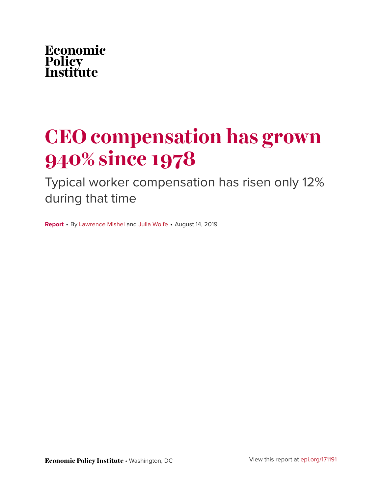

# **CEO compensation has grown 940% since 1978**

Typical worker compensation has risen only 12% during that time

**Report** • By [Lawrence Mishel](https://www.epi.org/people/lawrence-mishel/) and [Julia Wolfe](https://www.epi.org/people/julia-wolfe/) • August 14, 2019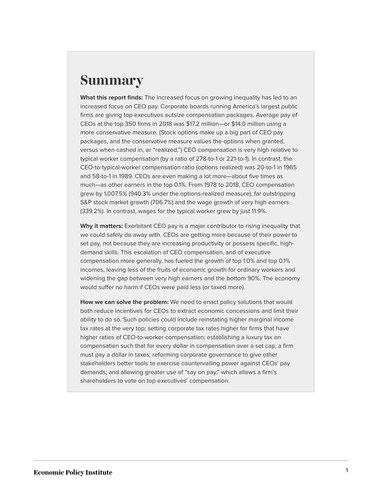# **Summary**

**What this report finds:** The increased focus on growing inequality has led to an increased focus on CEO pay. Corporate boards running America's largest public firms are giving top executives outsize compensation packages. Average pay of CEOs at the top 350 firms in 2018 was \$17.2 million—or \$14.0 million using a more conservative measure. (Stock options make up a big part of CEO pay packages, and the conservative measure values the options when granted, versus when cashed in, or "realized.") CEO compensation is very high relative to typical worker compensation (by a ratio of 278-to-1 or 221-to-1). In contrast, the CEO-to-typical-worker compensation ratio (options realized) was 20-to-1 in 1965 and 58-to-1 in 1989. CEOs are even making a lot more—about five times as much—as other earners in the top 0.1%. From 1978 to 2018, CEO compensation grew by 1,007.5% (940.3% under the options-realized measure), far outstripping S&P stock market growth (706.7%) and the wage growth of very high earners (339.2%). In contrast, wages for the typical worker grew by just 11.9%.

**Why it matters:** Exorbitant CEO pay is a major contributor to rising inequality that we could safely do away with. CEOs are getting more because of their power to set pay, not because they are increasing productivity or possess specific, highdemand skills. This escalation of CEO compensation, and of executive compensation more generally, has fueled the growth of top 1.0% and top 0.1% incomes, leaving less of the fruits of economic growth for ordinary workers and widening the gap between very high earners and the bottom 90%. The economy would suffer no harm if CEOs were paid less (or taxed more).

**How we can solve the problem:** We need to enact policy solutions that would both reduce incentives for CEOs to extract economic concessions and limit their ability to do so. Such policies could include reinstating higher marginal income tax rates at the very top; setting corporate tax rates higher for firms that have higher ratios of CEO-to-worker compensation; establishing a luxury tax on compensation such that for every dollar in compensation over a set cap, a firm must pay a dollar in taxes; reforming corporate governance to give other stakeholders better tools to exercise countervailing power against CEOs' pay demands; and allowing greater use of "say on pay," which allows a firm's shareholders to vote on top executives' compensation.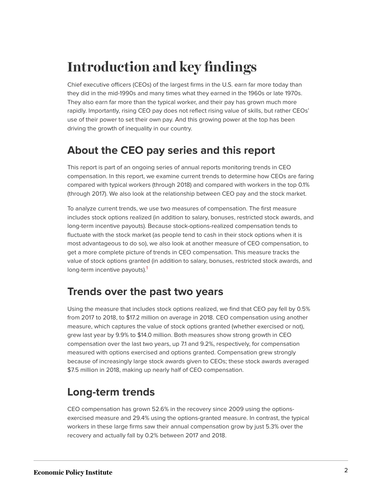# **Introduction and key findings**

Chief executive officers (CEOs) of the largest firms in the U.S. earn far more today than they did in the mid-1990s and many times what they earned in the 1960s or late 1970s. They also earn far more than the typical worker, and their pay has grown much more rapidly. Importantly, rising CEO pay does not reflect rising value of skills, but rather CEOs' use of their power to set their own pay. And this growing power at the top has been driving the growth of inequality in our country.

### **About the CEO pay series and this report**

This report is part of an ongoing series of annual reports monitoring trends in CEO compensation. In this report, we examine current trends to determine how CEOs are faring compared with typical workers (through 2018) and compared with workers in the top 0.1% (through 2017). We also look at the relationship between CEO pay and the stock market.

To analyze current trends, we use two measures of compensation. The first measure includes stock options realized (in addition to salary, bonuses, restricted stock awards, and long-term incentive payouts). Because stock-options-realized compensation tends to fluctuate with the stock market (as people tend to cash in their stock options when it is most advantageous to do so), we also look at another measure of CEO compensation, to get a more complete picture of trends in CEO compensation. This measure tracks the value of stock options granted (in addition to salary, bonuses, restricted stock awards, and long-term incentive payouts).<sup>[1](#page-23-0)</sup>

### <span id="page-2-0"></span>**Trends over the past two years**

Using the measure that includes stock options realized, we find that CEO pay fell by 0.5% from 2017 to 2018, to \$17.2 million on average in 2018. CEO compensation using another measure, which captures the value of stock options granted (whether exercised or not), grew last year by 9.9% to \$14.0 million. Both measures show strong growth in CEO compensation over the last two years, up 7.1 and 9.2%, respectively, for compensation measured with options exercised and options granted. Compensation grew strongly because of increasingly large stock awards given to CEOs; these stock awards averaged \$7.5 million in 2018, making up nearly half of CEO compensation.

### **Long-term trends**

CEO compensation has grown 52.6% in the recovery since 2009 using the optionsexercised measure and 29.4% using the options-granted measure. In contrast, the typical workers in these large firms saw their annual compensation grow by just 5.3% over the recovery and actually fall by 0.2% between 2017 and 2018.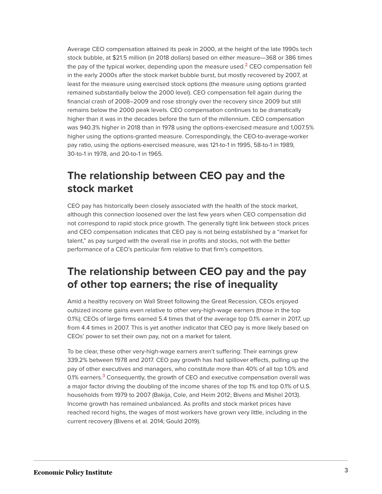<span id="page-3-0"></span>Average CEO compensation attained its peak in 2000, at the height of the late 1990s tech stock bubble, at \$21.5 million (in 2018 dollars) based on either measure—368 or 386 times the pay of the typical worker, depending upon the measure used. $<sup>2</sup>$  $<sup>2</sup>$  $<sup>2</sup>$  CEO compensation fell</sup> in the early 2000s after the stock market bubble burst, but mostly recovered by 2007, at least for the measure using exercised stock options (the measure using options granted remained substantially below the 2000 level). CEO compensation fell again during the financial crash of 2008–2009 and rose strongly over the recovery since 2009 but still remains below the 2000 peak levels. CEO compensation continues to be dramatically higher than it was in the decades before the turn of the millennium. CEO compensation was 940.3% higher in 2018 than in 1978 using the options-exercised measure and 1,007.5% higher using the options-granted measure. Correspondingly, the CEO-to-average-worker pay ratio, using the options-exercised measure, was 121-to-1 in 1995, 58-to-1 in 1989, 30-to-1 in 1978, and 20-to-1 in 1965.

## **The relationship between CEO pay and the stock market**

CEO pay has historically been closely associated with the health of the stock market, although this connection loosened over the last few years when CEO compensation did not correspond to rapid stock price growth. The generally tight link between stock prices and CEO compensation indicates that CEO pay is not being established by a "market for talent," as pay surged with the overall rise in profits and stocks, not with the better performance of a CEO's particular firm relative to that firm's competitors.

### **The relationship between CEO pay and the pay of other top earners; the rise of inequality**

Amid a healthy recovery on Wall Street following the Great Recession, CEOs enjoyed outsized income gains even relative to other very-high-wage earners (those in the top 0.1%); CEOs of large firms earned 5.4 times that of the average top 0.1% earner in 2017, up from 4.4 times in 2007. This is yet another indicator that CEO pay is more likely based on CEOs' power to set their own pay, not on a market for talent.

<span id="page-3-1"></span>To be clear, these other very-high-wage earners aren't suffering: Their earnings grew 339.2% between 1978 and 2017. CEO pay growth has had spillover effects, pulling up the pay of other executives and managers, who constitute more than 40% of all top 1.0% and 0.1% earners.<sup>[3](#page-23-2)</sup> Consequently, the growth of CEO and executive compensation overall was a major factor driving the doubling of the income shares of the top 1% and top 0.1% of U.S. households from 1979 to 2007 (Bakija, Cole, and Heim 2012; Bivens and Mishel 2013). Income growth has remained unbalanced. As profits and stock market prices have reached record highs, the wages of most workers have grown very little, including in the current recovery (Bivens et al. 2014; Gould 2019).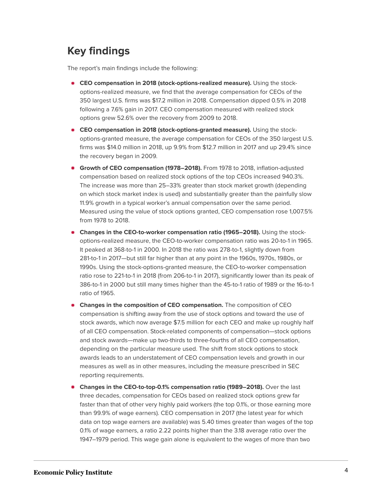## **Key findings**

The report's main findings include the following:

- **CEO compensation in 2018 (stock-options-realized measure).** Using the stockoptions-realized measure, we find that the average compensation for CEOs of the 350 largest U.S. firms was \$17.2 million in 2018. Compensation dipped 0.5% in 2018 following a 7.6% gain in 2017. CEO compensation measured with realized stock options grew 52.6% over the recovery from 2009 to 2018.
- **CEO compensation in 2018 (stock-options-granted measure).** Using the stockoptions-granted measure, the average compensation for CEOs of the 350 largest U.S. firms was \$14.0 million in 2018, up 9.9% from \$12.7 million in 2017 and up 29.4% since the recovery began in 2009.
- **Growth of CEO compensation (1978–2018).** From 1978 to 2018, inflation-adjusted compensation based on realized stock options of the top CEOs increased 940.3%. The increase was more than 25–33% greater than stock market growth (depending on which stock market index is used) and substantially greater than the painfully slow 11.9% growth in a typical worker's annual compensation over the same period. Measured using the value of stock options granted, CEO compensation rose 1,007.5% from 1978 to 2018.
- **Changes in the CEO-to-worker compensation ratio (1965–2018).** Using the stockoptions-realized measure, the CEO-to-worker compensation ratio was 20-to-1 in 1965. It peaked at 368-to-1 in 2000. In 2018 the ratio was 278-to-1, slightly down from 281-to-1 in 2017—but still far higher than at any point in the 1960s, 1970s, 1980s, or 1990s. Using the stock-options-granted measure, the CEO-to-worker compensation ratio rose to 221-to-1 in 2018 (from 206-to-1 in 2017), significantly lower than its peak of 386-to-1 in 2000 but still many times higher than the 45-to-1 ratio of 1989 or the 16-to-1 ratio of 1965.
- **Changes in the composition of CEO compensation.** The composition of CEO compensation is shifting away from the use of stock options and toward the use of stock awards, which now average \$7.5 million for each CEO and make up roughly half of all CEO compensation. Stock-related components of compensation—stock options and stock awards—make up two-thirds to three-fourths of all CEO compensation, depending on the particular measure used. The shift from stock options to stock awards leads to an understatement of CEO compensation levels and growth in our measures as well as in other measures, including the measure prescribed in SEC reporting requirements.
- **Changes in the CEO-to-top-0.1% compensation ratio (1989–2018).** Over the last three decades, compensation for CEOs based on realized stock options grew far faster than that of other very highly paid workers (the top 0.1%, or those earning more than 99.9% of wage earners). CEO compensation in 2017 (the latest year for which data on top wage earners are available) was 5.40 times greater than wages of the top 0.1% of wage earners, a ratio 2.22 points higher than the 3.18 average ratio over the 1947–1979 period. This wage gain alone is equivalent to the wages of more than two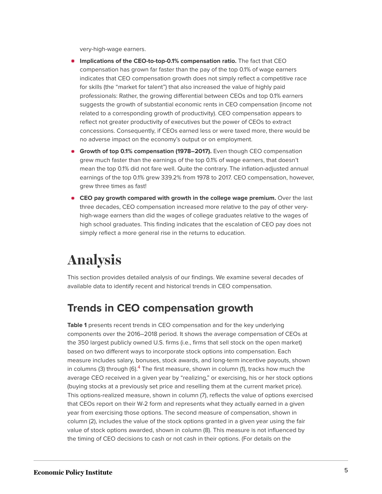very-high-wage earners.

- **Implications of the CEO-to-top-0.1% compensation ratio.** The fact that CEO compensation has grown far faster than the pay of the top 0.1% of wage earners indicates that CEO compensation growth does not simply reflect a competitive race for skills (the "market for talent") that also increased the value of highly paid professionals: Rather, the growing differential between CEOs and top 0.1% earners suggests the growth of substantial economic rents in CEO compensation (income not related to a corresponding growth of productivity). CEO compensation appears to reflect not greater productivity of executives but the power of CEOs to extract concessions. Consequently, if CEOs earned less or were taxed more, there would be no adverse impact on the economy's output or on employment.
- **Growth of top 0.1% compensation (1978–2017).** Even though CEO compensation grew much faster than the earnings of the top 0.1% of wage earners, that doesn't mean the top 0.1% did not fare well. Quite the contrary. The inflation-adjusted annual earnings of the top 0.1% grew 339.2% from 1978 to 2017. CEO compensation, however, grew three times as fast!
- **CEO pay growth compared with growth in the college wage premium.** Over the last three decades, CEO compensation increased more relative to the pay of other veryhigh-wage earners than did the wages of college graduates relative to the wages of high school graduates. This finding indicates that the escalation of CEO pay does not simply reflect a more general rise in the returns to education.

# **Analysis**

This section provides detailed analysis of our findings. We examine several decades of available data to identify recent and historical trends in CEO compensation.

### **Trends in CEO compensation growth**

<span id="page-5-0"></span>**Table 1** presents recent trends in CEO compensation and for the key underlying components over the 2016–2018 period. It shows the average compensation of CEOs at the 350 largest publicly owned U.S. firms (i.e., firms that sell stock on the open market) based on two different ways to incorporate stock options into compensation. Each measure includes salary, bonuses, stock awards, and long-term incentive payouts, shown in columns (3) through (6).<sup>[4](#page-23-3)</sup> The first measure, shown in column (1), tracks how much the average CEO received in a given year by "realizing," or exercising, his or her stock options (buying stocks at a previously set price and reselling them at the current market price). This options-realized measure, shown in column (7), reflects the value of options exercised that CEOs report on their W-2 form and represents what they actually earned in a given year from exercising those options. The second measure of compensation, shown in column (2), includes the value of the stock options granted in a given year using the fair value of stock options awarded, shown in column (8). This measure is not influenced by the timing of CEO decisions to cash or not cash in their options. (For details on the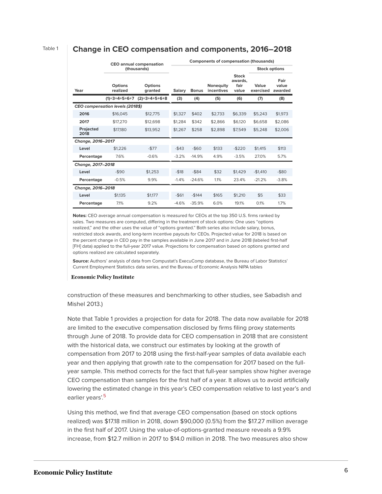#### Table 1 **Change in CEO compensation and components, 2016–2018**

|                                         | <b>CEO</b> annual compensation<br>(thousands) |                           | <b>Components of compensation (thousands)</b> |              |                         |                                   |                      |                          |  |
|-----------------------------------------|-----------------------------------------------|---------------------------|-----------------------------------------------|--------------|-------------------------|-----------------------------------|----------------------|--------------------------|--|
|                                         |                                               |                           |                                               |              |                         |                                   | <b>Stock options</b> |                          |  |
| Year                                    | <b>Options</b><br>realized                    | <b>Options</b><br>aranted | <b>Salary</b>                                 | <b>Bonus</b> | Noneguity<br>incentives | Stock<br>awards.<br>fair<br>value | Value<br>exercised   | Fair<br>value<br>awarded |  |
|                                         | $(1)=3+4+5+6+7$                               | $(2)=3+4+5+6+8$           | (3)                                           | (4)          | (5)                     | (6)                               | (7)                  | (8)                      |  |
| <b>CEO compensation levels (2018\$)</b> |                                               |                           |                                               |              |                         |                                   |                      |                          |  |
| 2016                                    | \$16,045                                      | \$12,775                  | \$1,327                                       | \$402        | \$2,733                 | \$6,339                           | \$5,243              | \$1,973                  |  |
| 2017                                    | \$17,270                                      | \$12,698                  | \$1.284                                       | \$342        | \$2.866                 | \$6,120                           | \$6,658              | \$2,086                  |  |
| Projected<br>2018                       | \$17,180                                      | \$13.952                  | \$1,267                                       | \$258        | \$2,898                 | \$7,549                           | \$5,248              | \$2,006                  |  |
| Change, 2016-2017                       |                                               |                           |                                               |              |                         |                                   |                      |                          |  |
| Level                                   | \$1,226                                       | $-577$                    | $-$ \$43                                      | $-$60$       | \$133                   | $-$220$                           | \$1,415              | \$113                    |  |
| Percentage                              | 7.6%                                          | $-0.6%$                   | $-3.2%$                                       | $-14.9%$     | 4.9%                    | $-3.5%$                           | 27.0%                | 5.7%                     |  |
| Change, 2017-2018                       |                                               |                           |                                               |              |                         |                                   |                      |                          |  |
| Level                                   | $-590$                                        | \$1.253                   | $-$18$                                        | $-$ \$84     | \$32                    | \$1,429                           | $-$1,410$            | $-$ \$80                 |  |
| Percentage                              | $-0.5%$                                       | 9.9%                      | $-1.4%$                                       | $-24.6%$     | 1.1%                    | 23.4%                             | $-21.2%$             | $-3.8%$                  |  |
| Change, 2016-2018                       |                                               |                           |                                               |              |                         |                                   |                      |                          |  |
| Level                                   | \$1.135                                       | \$1,177                   | $-$61$                                        | $-$144$      | \$165                   | \$1.210                           | \$5                  | \$33                     |  |
| Percentage                              | 7.1%                                          | 9.2%                      | $-4.6%$                                       | $-35.9%$     | 6.0%                    | 19.1%                             | 0.1%                 | 1.7%                     |  |

**Notes:** CEO average annual compensation is measured for CEOs at the top 350 U.S. firms ranked by sales. Two measures are computed, differing in the treatment of stock options: One uses "options realized," and the other uses the value of "options granted." Both series also include salary, bonus, restricted stock awards, and long-term incentive payouts for CEOs. Projected value for 2018 is based on the percent change in CEO pay in the samples available in June 2017 and in June 2018 (labeled first-half [FH] data) applied to the full-year 2017 value. Projections for compensation based on options granted and options realized are calculated separately.

**Source:** Authors' analysis of data from Compustat's ExecuComp database, the Bureau of Labor Statistics' Current Employment Statistics data series, and the Bureau of Economic Analysis NIPA tables

#### **Economic Policy Institute**

construction of these measures and benchmarking to other studies, see Sabadish and Mishel 2013.)

Note that Table 1 provides a projection for data for 2018. The data now available for 2018 are limited to the executive compensation disclosed by firms filing proxy statements through June of 2018. To provide data for CEO compensation in 2018 that are consistent with the historical data, we construct our estimates by looking at the growth of compensation from 2017 to 2018 using the first-half-year samples of data available each year and then applying that growth rate to the compensation for 2017 based on the fullyear sample. This method corrects for the fact that full-year samples show higher average CEO compensation than samples for the first half of a year. It allows us to avoid artificially lowering the estimated change in this year's CEO compensation relative to last year's and earlier years'.<sup>[5](#page-23-4)</sup>

<span id="page-6-0"></span>Using this method, we find that average CEO compensation (based on stock options realized) was \$17.18 million in 2018, down \$90,000 (0.5%) from the \$17.27 million average in the first half of 2017. Using the value-of-options-granted measure reveals a 9.9% increase, from \$12.7 million in 2017 to \$14.0 million in 2018. The two measures also show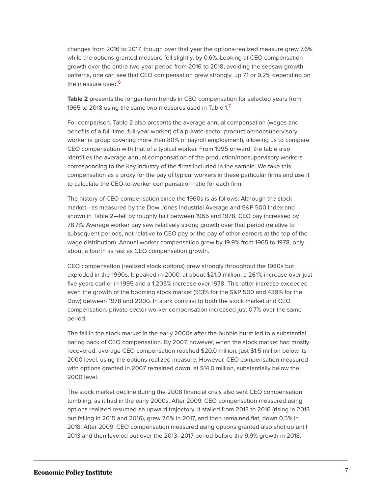changes from 2016 to 2017, though over that year the options-realized measure grew 7.6% while the options-granted measure fell slightly, by 0.6%. Looking at CEO compensation growth over the entire two-year period from 2016 to 2018, avoiding the seesaw growth patterns, one can see that CEO compensation grew strongly, up 7.1 or 9.2% depending on the measure used.<sup>[6](#page-23-5)</sup>

<span id="page-7-1"></span><span id="page-7-0"></span>**Table 2** presents the longer-term trends in CEO compensation for selected years from 1965 to 2018 using the same two measures used in Table 1. $<sup>7</sup>$  $<sup>7</sup>$  $<sup>7</sup>$ </sup>

For comparison, Table 2 also presents the average annual compensation (wages and benefits of a full-time, full-year worker) of a private-sector production/nonsupervisory worker (a group covering more than 80% of payroll employment), allowing us to compare CEO compensation with that of a typical worker. From 1995 onward, the table also identifies the average annual compensation of the production/nonsupervisory workers corresponding to the key industry of the firms included in the sample. We take this compensation as a proxy for the pay of typical workers in these particular firms and use it to calculate the CEO-to-worker compensation ratio for each firm.

The history of CEO compensation since the 1960s is as follows: Although the stock market—as measured by the Dow Jones Industrial Average and S&P 500 Index and shown in Table 2—fell by roughly half between 1965 and 1978, CEO pay increased by 78.7%. Average worker pay saw relatively strong growth over that period (relative to subsequent periods, not relative to CEO pay or the pay of other earners at the top of the wage distribution). Annual worker compensation grew by 19.9% from 1965 to 1978, only about a fourth as fast as CEO compensation growth.

CEO compensation (realized stock options) grew strongly throughout the 1980s but exploded in the 1990s. It peaked in 2000, at about \$21.0 million, a 261% increase over just five years earlier in 1995 and a 1,205% increase over 1978. This latter increase exceeded even the growth of the booming stock market (513% for the S&P 500 and 439% for the Dow) between 1978 and 2000. In stark contrast to both the stock market and CEO compensation, private-sector worker compensation increased just 0.7% over the same period.

The fall in the stock market in the early 2000s after the bubble burst led to a substantial paring back of CEO compensation. By 2007, however, when the stock market had mostly recovered, average CEO compensation reached \$20.0 million, just \$1.5 million below its 2000 level, using the options-realized measure. However, CEO compensation measured with options granted in 2007 remained down, at \$14.0 million, substantially below the 2000 level.

The stock market decline during the 2008 financial crisis also sent CEO compensation tumbling, as it had in the early 2000s. After 2009, CEO compensation measured using options realized resumed an upward trajectory. It stalled from 2013 to 2016 (rising in 2013 but falling in 2015 and 2016), grew 7.6% in 2017, and then remained flat, down 0.5% in 2018. After 2009, CEO compensation measured using options granted also shot up until 2013 and then leveled out over the 2013–2017 period before the 9.9% growth in 2018.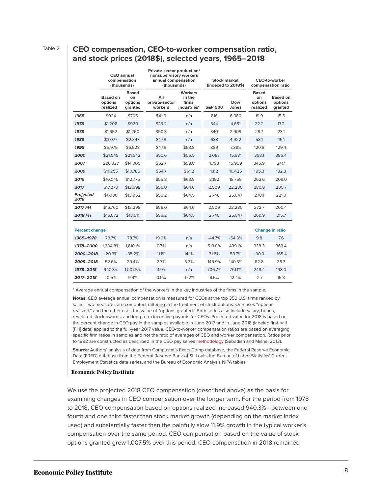### Table 2 **CEO compensation, CEO-to-worker compensation ratio, and stock prices (2018\$), selected years, 1965–2018**

|                          | <b>CEO</b> annual<br>compensation<br>(thousands) |                                          | Private-sector production/<br>nonsupervisory workers<br>annual compensation<br>(thousands) |                                                   | <b>Stock market</b><br>(indexed to 2018\$) |              | <b>CEO-to-worker</b><br>compensation ratio |                                       |
|--------------------------|--------------------------------------------------|------------------------------------------|--------------------------------------------------------------------------------------------|---------------------------------------------------|--------------------------------------------|--------------|--------------------------------------------|---------------------------------------|
|                          | Based on<br>options<br>realized                  | <b>Based</b><br>on<br>options<br>granted | All<br>private-sector<br>workers                                                           | <b>Workers</b><br>in the<br>firms'<br>industries* | <b>S&amp;P 500</b>                         | Dow<br>Jones | <b>Based</b><br>on<br>options<br>realized  | <b>Based on</b><br>options<br>granted |
| 1965                     | \$924                                            | \$705                                    | \$41.9                                                                                     | n/a                                               | 616                                        | 6,360        | 19.9                                       | 15.5                                  |
| 1973                     | \$1,206                                          | \$920                                    | \$49.2                                                                                     | n/a                                               | 544                                        | 4,681        | 22.2                                       | 17.2                                  |
| 1978                     | \$1,652                                          | \$1,260                                  | \$50.3                                                                                     | n/a                                               | 340                                        | 2,909        | 29.7                                       | 23.1                                  |
| 1989                     | \$3,077                                          | \$2,347                                  | \$47.9                                                                                     | n/a                                               | 633                                        | 4,922        | 58.1                                       | 45.1                                  |
| 1995                     | \$5,975                                          | \$6,628                                  | \$47.9                                                                                     | \$53.8                                            | 889                                        | 7,385        | 120.6                                      | 129.4                                 |
| 2000                     | \$21,549                                         | \$21,542                                 | \$50.6                                                                                     | \$56.5                                            | 2.087                                      | 15.681       | 368.1                                      | 386.4                                 |
| 2007                     | \$20,027                                         | \$14,000                                 | \$52.7                                                                                     | \$58.8                                            | 1.793                                      | 15.999       | 345.9                                      | 241.1                                 |
| 2009                     | \$11,255                                         | \$10,785                                 | \$54.7                                                                                     | \$61.2                                            | 1.112                                      | 10,425       | 195.3                                      | 182.3                                 |
| 2016                     | \$16,045                                         | \$12.775                                 | \$55.8                                                                                     | \$63.8                                            | 2.192                                      | 18.759       | 262.6                                      | 209.0                                 |
| 2017                     | \$17,270                                         | \$12,698                                 | \$56.0                                                                                     | \$64.6                                            | 2.509                                      | 22,280       | 280.8                                      | 205.7                                 |
| <b>Projected</b><br>2018 | \$17,180                                         | \$13,952                                 | \$56.2                                                                                     | \$64.5                                            | 2.746                                      | 25,047       | 278.1                                      | 221.0                                 |
| <b>2017 FH</b>           | \$16,760                                         | \$12,298                                 | \$56.0                                                                                     | \$64.6                                            | 2.509                                      | 22,280       | 272.7                                      | 200.4                                 |
| <b>2018 FH</b>           | \$16,672                                         | \$13,511                                 | \$56.2                                                                                     | \$64.5                                            | 2,746                                      | 25,047       | 269.9                                      | 215.7                                 |
| <b>Percent change</b>    |                                                  |                                          |                                                                                            |                                                   |                                            |              |                                            | <b>Change in ratio</b>                |
| 1965-1978                | 78.7%                                            | 78.7%                                    | 19.9%                                                                                      | n/a                                               | $-44.7%$                                   | $-54.3%$     | 9.8                                        | 7.6                                   |
| 1978-2000                | 1,204.8%                                         | 1,610.1%                                 | 0.7%                                                                                       | n/a                                               | 513.0%                                     | 439.1%       | 338.3                                      | 363.4                                 |
| 2000-2018                | $-20.3%$                                         | $-35.2%$                                 | 11.1%                                                                                      | 14.1%                                             | 31.6%                                      | 59.7%        | $-90.0$                                    | $-165.4$                              |
| 2009-2018                | 52.6%                                            | 29.4%                                    | 2.7%                                                                                       | 5.3%                                              | 146.9%                                     | 140.3%       | 82.8                                       | 38.7                                  |
| 1978-2018                | 940.3%                                           | 1.007.5%                                 | 11.9%                                                                                      | n/a                                               | 706.7%                                     | 761.1%       | 248.4                                      | 198.0                                 |
| 2017-2018                | $-0.5%$                                          | 9.9%                                     | 0.5%                                                                                       | $-0.2%$                                           | 9.5%                                       | 12.4%        | $-2.7$                                     | 15.3                                  |

\* Average annual compensation of the workers in the key industries of the firms in the sample.

**Notes:** CEO average annual compensation is measured for CEOs at the top 350 U.S. firms ranked by sales. Two measures are computed, differing in the treatment of stock options: One uses "options realized," and the other uses the value of "options granted." Both series also include salary, bonus, restricted stock awards, and long-term incentive payouts for CEOs. Projected value for 2018 is based on the percent change in CEO pay in the samples available in June 2017 and in June 2018 (labeled first-half [FH] data) applied to the full-year 2017 value. CEO-to-worker compensation ratios are based on averaging specific firm ratios in samples and not the ratio of averages of CEO and worker compensation. Ratios prior to 1992 are constructed as described in the CEO pay series [methodology](https://www.epi.org/publication/methodology-measuring-ceo-compensation-ratio/) (Sabadish and Mishel 2013).

**Source:** Authors' analysis of data from Compustat's ExecuComp database, the Federal Reserve Economic Data (FRED) database from the Federal Reserve Bank of St. Louis, the Bureau of Labor Statistics' Current Employment Statistics data series, and the Bureau of Economic Analysis NIPA tables

#### **Economic Policy Institute**

We use the projected 2018 CEO compensation (described above) as the basis for examining changes in CEO compensation over the longer term. For the period from 1978 to 2018, CEO compensation based on options realized increased 940.3%—between onefourth and one-third faster than stock market growth (depending on the market index used) and substantially faster than the painfully slow 11.9% growth in the typical worker's compensation over the same period. CEO compensation based on the value of stock options granted grew 1,007.5% over this period. CEO compensation in 2018 remained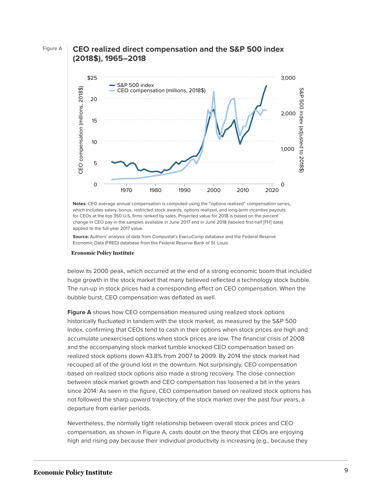### Figure A **CEO realized direct compensation and the S&P 500 index (2018\$), 1965–2018**



**Notes:** CEO average annual compensation is computed using the "options realized" compensation series, which includes salary, bonus, restricted stock awards, options realized, and long-term incentive payouts for CEOs at the top 350 U.S. firms ranked by sales. Projected value for 2018 is based on the percent change in CEO pay in the samples available in June 2017 and in June 2018 (labeled first-half [FH] data) applied to the full-year 2017 value.

**Source:** Authors' analysis of data from Compustat's ExecuComp database and the Federal Reserve

#### **Economic Policy Institute**

below its 2000 peak, which occurred at the end of a strong economic boom that included huge growth in the stock market that many believed reflected a technology stock bubble. The run-up in stock prices had a corresponding effect on CEO compensation. When the bubble burst, CEO compensation was deflated as well.

**Figure A** shows how CEO compensation measured using realized stock options historically fluctuated in tandem with the stock market, as measured by the S&P 500 Index, confirming that CEOs tend to cash in their options when stock prices are high and accumulate unexercised options when stock prices are low. The financial crisis of 2008 and the accompanying stock market tumble knocked CEO compensation based on realized stock options down 43.8% from 2007 to 2009. By 2014 the stock market had recouped all of the ground lost in the downturn. Not surprisingly, CEO compensation based on realized stock options also made a strong recovery. The close connection between stock market growth and CEO compensation has loosened a bit in the years since 2014: As seen in the figure, CEO compensation based on realized stock options has not followed the sharp upward trajectory of the stock market over the past four years, a departure from earlier periods.

Nevertheless, the normally tight relationship between overall stock prices and CEO compensation, as shown in Figure A, casts doubt on the theory that CEOs are enjoying high and rising pay because their individual productivity is increasing (e.g., because they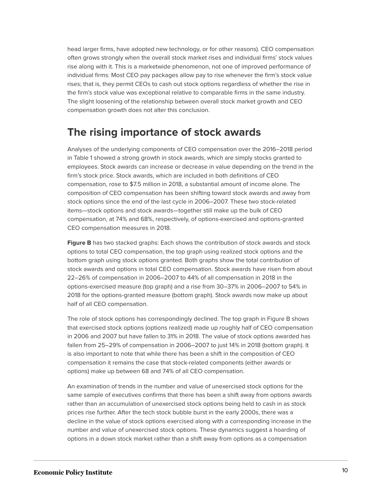head larger firms, have adopted new technology, or for other reasons). CEO compensation often grows strongly when the overall stock market rises and individual firms' stock values rise along with it. This is a marketwide phenomenon, not one of improved performance of individual firms: Most CEO pay packages allow pay to rise whenever the firm's stock value rises; that is, they permit CEOs to cash out stock options regardless of whether the rise in the firm's stock value was exceptional relative to comparable firms in the same industry. The slight loosening of the relationship between overall stock market growth and CEO compensation growth does not alter this conclusion.

### **The rising importance of stock awards**

Analyses of the underlying components of CEO compensation over the 2016–2018 period in Table 1 showed a strong growth in stock awards, which are simply stocks granted to employees. Stock awards can increase or decrease in value depending on the trend in the firm's stock price. Stock awards, which are included in both definitions of CEO compensation, rose to \$7.5 million in 2018, a substantial amount of income alone. The composition of CEO compensation has been shifting toward stock awards and away from stock options since the end of the last cycle in 2006–2007. These two stock-related items—stock options and stock awards—together still make up the bulk of CEO compensation, at 74% and 68%, respectively, of options-exercised and options-granted CEO compensation measures in 2018.

Figure B has two stacked graphs: Each shows the contribution of stock awards and stock options to total CEO compensation, the top graph using realized stock options and the bottom graph using stock options granted. Both graphs show the total contribution of stock awards and options in total CEO compensation. Stock awards have risen from about 22–26% of compensation in 2006–2007 to 44% of all compensation in 2018 in the options-exercised measure (top graph) and a rise from 30–37% in 2006–2007 to 54% in 2018 for the options-granted measure (bottom graph). Stock awards now make up about half of all CEO compensation.

The role of stock options has correspondingly declined. The top graph in Figure B shows that exercised stock options (options realized) made up roughly half of CEO compensation in 2006 and 2007 but have fallen to 31% in 2018. The value of stock options awarded has fallen from 25–29% of compensation in 2006–2007 to just 14% in 2018 (bottom graph). It is also important to note that while there has been a shift in the composition of CEO compensation it remains the case that stock-related components (either awards or options) make up between 68 and 74% of all CEO compensation.

An examination of trends in the number and value of unexercised stock options for the same sample of executives confirms that there has been a shift away from options awards rather than an accumulation of unexercised stock options being held to cash in as stock prices rise further. After the tech stock bubble burst in the early 2000s, there was a decline in the value of stock options exercised along with a corresponding increase in the number and value of unexercised stock options. These dynamics suggest a hoarding of options in a down stock market rather than a shift away from options as a compensation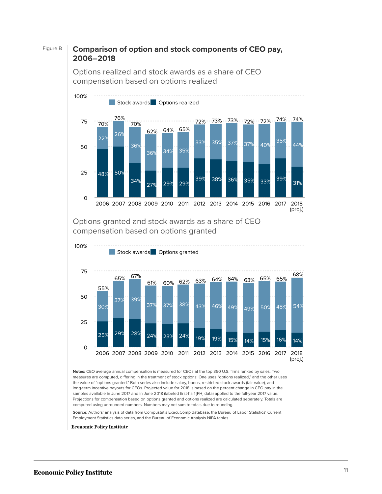### Figure B **Comparison of option and stock components of CEO pay, 2006–2018**

Options realized and stock awards as a share of CEO compensation based on options realized



Options granted and stock awards as a share of CEO compensation based on options granted



**Notes:** CEO average annual compensation is measured for CEOs at the top 350 U.S. firms ranked by sales. Two measures are computed, differing in the treatment of stock options: One uses "options realized," and the other uses the value of "options granted." Both series also include salary, bonus, restricted stock awards (fair value), and long-term incentive payouts for CEOs. Projected value for 2018 is based on the percent change in CEO pay in the samples available in June 2017 and in June 2018 (labeled first-half [FH] data) applied to the full-year 2017 value. Projections for compensation based on options granted and options realized are calculated separately. Totals are computed using unrounded numbers. Numbers may not sum to totals due to rounding.

**Source:** Authors' analysis of data from Compustat's ExecuComp database, the Bureau of Labor Statistics' Current Employment Statistics data series, and the Bureau of Economic Analysis NIPA tables

**Economic Policy Institute**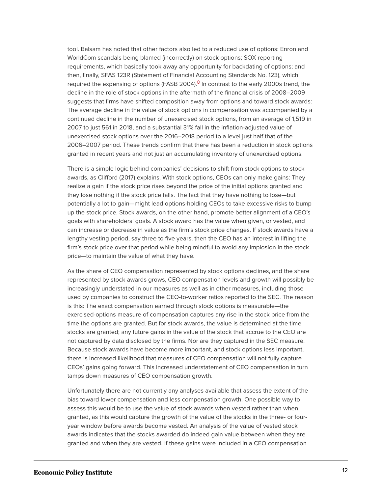<span id="page-12-0"></span>tool. Balsam has noted that other factors also led to a reduced use of options: Enron and WorldCom scandals being blamed (incorrectly) on stock options; SOX reporting requirements, which basically took away any opportunity for backdating of options; and then, finally, SFAS 123R (Statement of Financial Accounting Standards No. 123), which required the expensing of options (FASB 2004).<sup>[8](#page-23-7)</sup> In contrast to the early 2000s trend, the decline in the role of stock options in the aftermath of the financial crisis of 2008–2009 suggests that firms have shifted composition away from options and toward stock awards: The average decline in the value of stock options in compensation was accompanied by a continued decline in the number of unexercised stock options, from an average of 1,519 in 2007 to just 561 in 2018, and a substantial 31% fall in the inflation-adjusted value of unexercised stock options over the 2016–2018 period to a level just half that of the 2006–2007 period. These trends confirm that there has been a reduction in stock options granted in recent years and not just an accumulating inventory of unexercised options.

There is a simple logic behind companies' decisions to shift from stock options to stock awards, as Clifford (2017) explains. With stock options, CEOs can only make gains: They realize a gain if the stock price rises beyond the price of the initial options granted and they lose nothing if the stock price falls. The fact that they have nothing to lose—but potentially a lot to gain—might lead options-holding CEOs to take excessive risks to bump up the stock price. Stock awards, on the other hand, promote better alignment of a CEO's goals with shareholders' goals. A stock award has the value when given, or vested, and can increase or decrease in value as the firm's stock price changes. If stock awards have a lengthy vesting period, say three to five years, then the CEO has an interest in lifting the firm's stock price over that period while being mindful to avoid any implosion in the stock price—to maintain the value of what they have.

As the share of CEO compensation represented by stock options declines, and the share represented by stock awards grows, CEO compensation levels and growth will possibly be increasingly understated in our measures as well as in other measures, including those used by companies to construct the CEO-to-worker ratios reported to the SEC. The reason is this: The exact compensation earned through stock options is measurable—the exercised-options measure of compensation captures any rise in the stock price from the time the options are granted. But for stock awards, the value is determined at the time stocks are granted; any future gains in the value of the stock that accrue to the CEO are not captured by data disclosed by the firms. Nor are they captured in the SEC measure. Because stock awards have become more important, and stock options less important, there is increased likelihood that measures of CEO compensation will not fully capture CEOs' gains going forward. This increased understatement of CEO compensation in turn tamps down measures of CEO compensation growth.

Unfortunately there are not currently any analyses available that assess the extent of the bias toward lower compensation and less compensation growth. One possible way to assess this would be to use the value of stock awards when vested rather than when granted, as this would capture the growth of the value of the stocks in the three- or fouryear window before awards become vested. An analysis of the value of vested stock awards indicates that the stocks awarded do indeed gain value between when they are granted and when they are vested. If these gains were included in a CEO compensation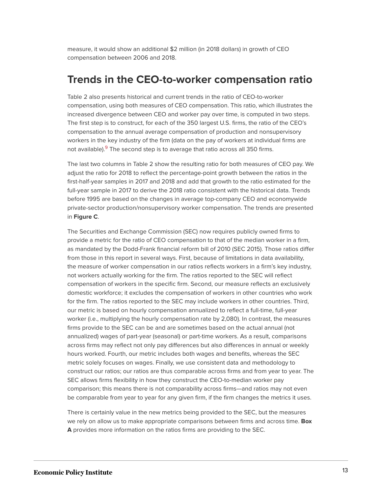measure, it would show an additional \$2 million (in 2018 dollars) in growth of CEO compensation between 2006 and 2018.

### **Trends in the CEO-to-worker compensation ratio**

Table 2 also presents historical and current trends in the ratio of CEO-to-worker compensation, using both measures of CEO compensation. This ratio, which illustrates the increased divergence between CEO and worker pay over time, is computed in two steps. The first step is to construct, for each of the 350 largest U.S. firms, the ratio of the CEO's compensation to the annual average compensation of production and nonsupervisory workers in the key industry of the firm (data on the pay of workers at individual firms are not available).<sup>[9](#page-23-8)</sup> The second step is to average that ratio across all 350 firms.

<span id="page-13-0"></span>The last two columns in Table 2 show the resulting ratio for both measures of CEO pay. We adjust the ratio for 2018 to reflect the percentage-point growth between the ratios in the first-half-year samples in 2017 and 2018 and add that growth to the ratio estimated for the full-year sample in 2017 to derive the 2018 ratio consistent with the historical data. Trends before 1995 are based on the changes in average top-company CEO and economywide private-sector production/nonsupervisory worker compensation. The trends are presented in **Figure C**.

The Securities and Exchange Commission (SEC) now requires publicly owned firms to provide a metric for the ratio of CEO compensation to that of the median worker in a firm, as mandated by the Dodd-Frank financial reform bill of 2010 (SEC 2015). Those ratios differ from those in this report in several ways. First, because of limitations in data availability, the measure of worker compensation in our ratios reflects workers in a firm's key industry, not workers actually working for the firm. The ratios reported to the SEC will reflect compensation of workers in the specific firm. Second, our measure reflects an exclusively domestic workforce; it excludes the compensation of workers in other countries who work for the firm. The ratios reported to the SEC may include workers in other countries. Third, our metric is based on hourly compensation annualized to reflect a full-time, full-year worker (i.e., multiplying the hourly compensation rate by 2,080). In contrast, the measures firms provide to the SEC can be and are sometimes based on the actual annual (not annualized) wages of part-year (seasonal) or part-time workers. As a result, comparisons across firms may reflect not only pay differences but also differences in annual or weekly hours worked. Fourth, our metric includes both wages and benefits, whereas the SEC metric solely focuses on wages. Finally, we use consistent data and methodology to construct our ratios; our ratios are thus comparable across firms and from year to year. The SEC allows firms flexibility in how they construct the CEO-to-median worker pay comparison; this means there is not comparability across firms—and ratios may not even be comparable from year to year for any given firm, if the firm changes the metrics it uses.

There is certainly value in the new metrics being provided to the SEC, but the measures we rely on allow us to make appropriate comparisons between firms and across time. **Box A** provides more information on the ratios firms are providing to the SEC.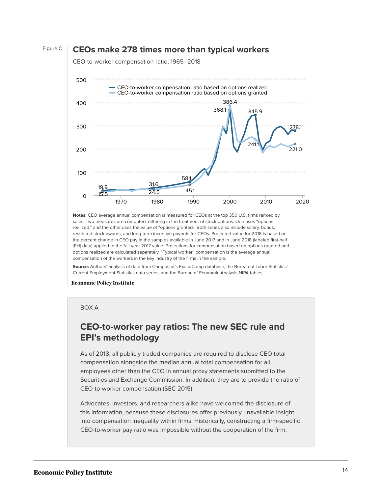#### Figure C **CEOs make 278 times more than typical workers**

CEO-to-worker compensation ratio, 1965–2018



**Notes:** CEO average annual compensation is measured for CEOs at the top 350 U.S. firms ranked by sales. Two measures are computed, differing in the treatment of stock options: One uses "options realized," and the other uses the value of "options granted." Both series also include salary, bonus, restricted stock awards, and long-term incentive payouts for CEOs. Projected value for 2018 is based on the percent change in CEO pay in the samples available in June 2017 and in June 2018 (labeled first-half [FH] data) applied to the full-year 2017 value. Projections for compensation based on options granted and options realized are calculated separately. "Typical worker" compensation is the average annual compensation of the workers in the key industry of the firms in the sample.

**Source:** Authors' analysis of data from Compustat's ExecuComp database, the Bureau of Labor Statistics' Current Employment Statistics data series, and the Bureau of Economic Analysis NIPA tables

#### **Economic Policy Institute**

#### BOX A

### **CEO-to-worker pay ratios: The new SEC rule and EPI's methodology**

As of 2018, all publicly traded companies are required to disclose CEO total compensation alongside the median annual total compensation for all employees other than the CEO in annual proxy statements submitted to the Securities and Exchange Commission. In addition, they are to provide the ratio of CEO-to-worker compensation (SEC 2015).

Advocates, investors, and researchers alike have welcomed the disclosure of this information, because these disclosures offer previously unavailable insight into compensation inequality within firms. Historically, constructing a firm-specific CEO-to-worker pay ratio was impossible without the cooperation of the firm,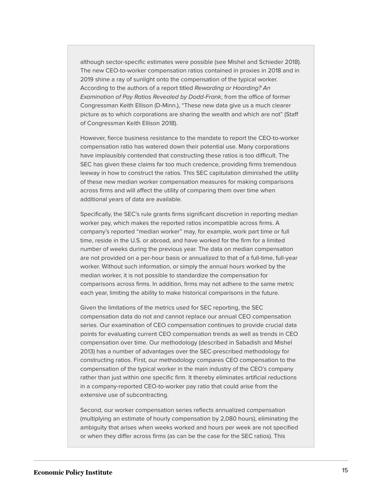although sector-specific estimates were possible (see Mishel and Schieder 2018). The new CEO-to-worker compensation ratios contained in proxies in 2018 and in 2019 shine a ray of sunlight onto the compensation of the typical worker. According to the authors of a report titled Rewarding or Hoarding? An Examination of Pay Ratios Revealed by Dodd-Frank, from the office of former Congressman Keith Ellison (D-Minn.), "These new data give us a much clearer picture as to which corporations are sharing the wealth and which are not" (Staff of Congressman Keith Ellison 2018).

However, fierce business resistance to the mandate to report the CEO-to-worker compensation ratio has watered down their potential use. Many corporations have implausibly contended that constructing these ratios is too difficult. The SEC has given these claims far too much credence, providing firms tremendous leeway in how to construct the ratios. This SEC capitulation diminished the utility of these new median worker compensation measures for making comparisons across firms and will affect the utility of comparing them over time when additional years of data are available.

Specifically, the SEC's rule grants firms significant discretion in reporting median worker pay, which makes the reported ratios incompatible across firms. A company's reported "median worker" may, for example, work part time or full time, reside in the U.S. or abroad, and have worked for the firm for a limited number of weeks during the previous year. The data on median compensation are not provided on a per-hour basis or annualized to that of a full-time, full-year worker. Without such information, or simply the annual hours worked by the median worker, it is not possible to standardize the compensation for comparisons across firms. In addition, firms may not adhere to the same metric each year, limiting the ability to make historical comparisons in the future.

Given the limitations of the metrics used for SEC reporting, the SEC compensation data do not and cannot replace our annual CEO compensation series. Our examination of CEO compensation continues to provide crucial data points for evaluating current CEO compensation trends as well as trends in CEO compensation over time. Our methodology (described in Sabadish and Mishel 2013) has a number of advantages over the SEC-prescribed methodology for constructing ratios. First, our methodology compares CEO compensation to the compensation of the typical worker in the main industry of the CEO's company rather than just within one specific firm. It thereby eliminates artificial reductions in a company-reported CEO-to-worker pay ratio that could arise from the extensive use of subcontracting.

Second, our worker compensation series reflects annualized compensation (multiplying an estimate of hourly compensation by 2,080 hours), eliminating the ambiguity that arises when weeks worked and hours per week are not specified or when they differ across firms (as can be the case for the SEC ratios). This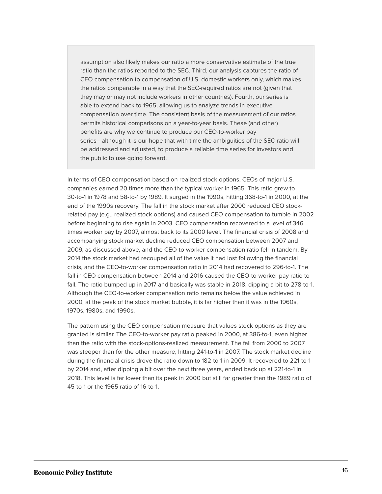assumption also likely makes our ratio a more conservative estimate of the true ratio than the ratios reported to the SEC. Third, our analysis captures the ratio of CEO compensation to compensation of U.S. domestic workers only, which makes the ratios comparable in a way that the SEC-required ratios are not (given that they may or may not include workers in other countries). Fourth, our series is able to extend back to 1965, allowing us to analyze trends in executive compensation over time. The consistent basis of the measurement of our ratios permits historical comparisons on a year-to-year basis. These (and other) benefits are why we continue to produce our CEO-to-worker pay series—although it is our hope that with time the ambiguities of the SEC ratio will be addressed and adjusted, to produce a reliable time series for investors and the public to use going forward.

In terms of CEO compensation based on realized stock options, CEOs of major U.S. companies earned 20 times more than the typical worker in 1965. This ratio grew to 30-to-1 in 1978 and 58-to-1 by 1989. It surged in the 1990s, hitting 368-to-1 in 2000, at the end of the 1990s recovery. The fall in the stock market after 2000 reduced CEO stockrelated pay (e.g., realized stock options) and caused CEO compensation to tumble in 2002 before beginning to rise again in 2003. CEO compensation recovered to a level of 346 times worker pay by 2007, almost back to its 2000 level. The financial crisis of 2008 and accompanying stock market decline reduced CEO compensation between 2007 and 2009, as discussed above, and the CEO-to-worker compensation ratio fell in tandem. By 2014 the stock market had recouped all of the value it had lost following the financial crisis, and the CEO-to-worker compensation ratio in 2014 had recovered to 296-to-1. The fall in CEO compensation between 2014 and 2016 caused the CEO-to-worker pay ratio to fall. The ratio bumped up in 2017 and basically was stable in 2018, dipping a bit to 278-to-1. Although the CEO-to-worker compensation ratio remains below the value achieved in 2000, at the peak of the stock market bubble, it is far higher than it was in the 1960s, 1970s, 1980s, and 1990s.

The pattern using the CEO compensation measure that values stock options as they are granted is similar. The CEO-to-worker pay ratio peaked in 2000, at 386-to-1, even higher than the ratio with the stock-options-realized measurement. The fall from 2000 to 2007 was steeper than for the other measure, hitting 241-to-1 in 2007. The stock market decline during the financial crisis drove the ratio down to 182-to-1 in 2009. It recovered to 221-to-1 by 2014 and, after dipping a bit over the next three years, ended back up at 221-to-1 in 2018. This level is far lower than its peak in 2000 but still far greater than the 1989 ratio of 45-to-1 or the 1965 ratio of 16-to-1.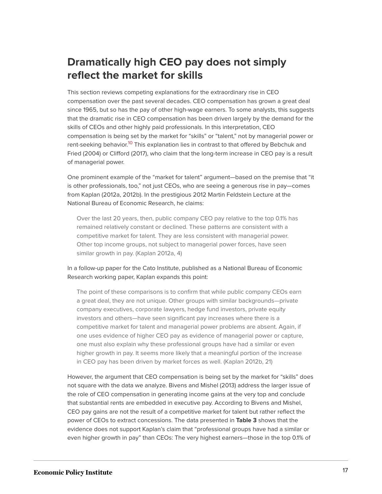### **Dramatically high CEO pay does not simply reflect the market for skills**

This section reviews competing explanations for the extraordinary rise in CEO compensation over the past several decades. CEO compensation has grown a great deal since 1965, but so has the pay of other high-wage earners. To some analysts, this suggests that the dramatic rise in CEO compensation has been driven largely by the demand for the skills of CEOs and other highly paid professionals. In this interpretation, CEO compensation is being set by the market for "skills" or "talent," not by managerial power or rent-seeking behavior.<sup>[10](#page-23-9)</sup> This explanation lies in contrast to that offered by Bebchuk and Fried (2004) or Clifford (2017), who claim that the long-term increase in CEO pay is a result of managerial power.

<span id="page-17-0"></span>One prominent example of the "market for talent" argument—based on the premise that "it is other professionals, too," not just CEOs, who are seeing a generous rise in pay—comes from Kaplan (2012a, 2012b). In the prestigious 2012 Martin Feldstein Lecture at the National Bureau of Economic Research, he claims:

Over the last 20 years, then, public company CEO pay relative to the top 0.1% has remained relatively constant or declined. These patterns are consistent with a competitive market for talent. They are less consistent with managerial power. Other top income groups, not subject to managerial power forces, have seen similar growth in pay. (Kaplan 2012a, 4)

In a follow-up paper for the Cato Institute, published as a National Bureau of Economic Research working paper, Kaplan expands this point:

The point of these comparisons is to confirm that while public company CEOs earn a great deal, they are not unique. Other groups with similar backgrounds—private company executives, corporate lawyers, hedge fund investors, private equity investors and others—have seen significant pay increases where there is a competitive market for talent and managerial power problems are absent. Again, if one uses evidence of higher CEO pay as evidence of managerial power or capture, one must also explain why these professional groups have had a similar or even higher growth in pay. It seems more likely that a meaningful portion of the increase in CEO pay has been driven by market forces as well. (Kaplan 2012b, 21)

However, the argument that CEO compensation is being set by the market for "skills" does not square with the data we analyze. Bivens and Mishel (2013) address the larger issue of the role of CEO compensation in generating income gains at the very top and conclude that substantial rents are embedded in executive pay. According to Bivens and Mishel, CEO pay gains are not the result of a competitive market for talent but rather reflect the power of CEOs to extract concessions. The data presented in **Table 3** shows that the evidence does not support Kaplan's claim that "professional groups have had a similar or even higher growth in pay" than CEOs: The very highest earners—those in the top 0.1% of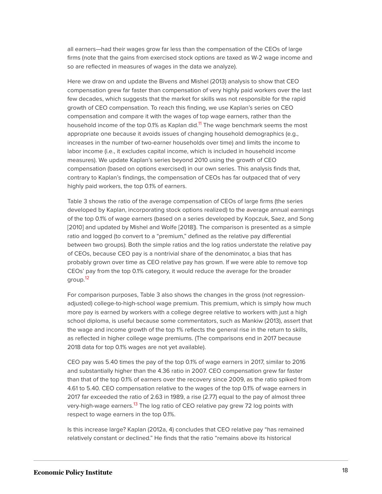all earners—had their wages grow far less than the compensation of the CEOs of large firms (note that the gains from exercised stock options are taxed as W-2 wage income and so are reflected in measures of wages in the data we analyze).

<span id="page-18-0"></span>Here we draw on and update the Bivens and Mishel (2013) analysis to show that CEO compensation grew far faster than compensation of very highly paid workers over the last few decades, which suggests that the market for skills was not responsible for the rapid growth of CEO compensation. To reach this finding, we use Kaplan's series on CEO compensation and compare it with the wages of top wage earners, rather than the household income of the top 0.1% as Kaplan did.<sup>[11](#page-24-0)</sup> The wage benchmark seems the most appropriate one because it avoids issues of changing household demographics (e.g., increases in the number of two-earner households over time) and limits the income to labor income (i.e., it excludes capital income, which is included in household income measures). We update Kaplan's series beyond 2010 using the growth of CEO compensation (based on options exercised) in our own series. This analysis finds that, contrary to Kaplan's findings, the compensation of CEOs has far outpaced that of very highly paid workers, the top 0.1% of earners.

Table 3 shows the ratio of the average compensation of CEOs of large firms (the series developed by Kaplan, incorporating stock options realized) to the average annual earnings of the top 0.1% of wage earners (based on a series developed by Kopczuk, Saez, and Song [2010] and updated by Mishel and Wolfe [2018]). The comparison is presented as a simple ratio and logged (to convert to a "premium," defined as the relative pay differential between two groups). Both the simple ratios and the log ratios understate the relative pay of CEOs, because CEO pay is a nontrivial share of the denominator, a bias that has probably grown over time as CEO relative pay has grown. If we were able to remove top CEOs' pay from the top 0.1% category, it would reduce the average for the broader group. [12](#page-24-1)

<span id="page-18-1"></span>For comparison purposes, Table 3 also shows the changes in the gross (not regressionadjusted) college-to-high-school wage premium. This premium, which is simply how much more pay is earned by workers with a college degree relative to workers with just a high school diploma, is useful because some commentators, such as Mankiw (2013), assert that the wage and income growth of the top 1% reflects the general rise in the return to skills, as reflected in higher college wage premiums. (The comparisons end in 2017 because 2018 data for top 0.1% wages are not yet available).

CEO pay was 5.40 times the pay of the top 0.1% of wage earners in 2017, similar to 2016 and substantially higher than the 4.36 ratio in 2007. CEO compensation grew far faster than that of the top 0.1% of earners over the recovery since 2009, as the ratio spiked from 4.61 to 5.40. CEO compensation relative to the wages of the top 0.1% of wage earners in 2017 far exceeded the ratio of 2.63 in 1989, a rise (2.77) equal to the pay of almost three very-high-wage earners.<sup>[13](#page-24-2)</sup> The log ratio of CEO relative pay grew 72 log points with respect to wage earners in the top 0.1%.

<span id="page-18-2"></span>Is this increase large? Kaplan (2012a, 4) concludes that CEO relative pay "has remained relatively constant or declined." He finds that the ratio "remains above its historical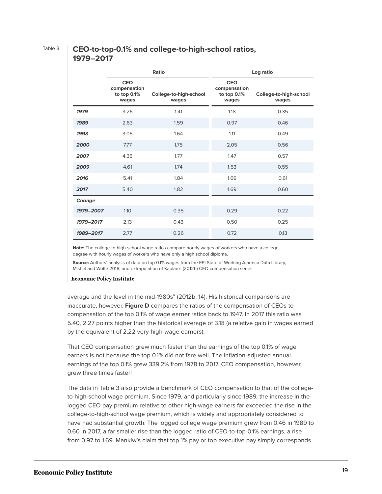### Table 3 **CEO-to-top-0.1% and college-to-high-school ratios, 1979–2017**

|           |                                                    | Ratio                           | Log ratio                                            |                                 |  |  |
|-----------|----------------------------------------------------|---------------------------------|------------------------------------------------------|---------------------------------|--|--|
|           | <b>CEO</b><br>compensation<br>to top 0.1%<br>wages | College-to-high-school<br>wages | <b>CEO</b><br>compensation<br>to top $0.1%$<br>wages | College-to-high-school<br>wages |  |  |
| 1979      | 3.26                                               | 1.41                            | 1.18                                                 | 0.35                            |  |  |
| 1989      | 2.63                                               | 1.59                            | 0.97                                                 | 0.46                            |  |  |
| 1993      | 3.05                                               | 1.64                            | 1.11                                                 | 0.49                            |  |  |
| 2000      | 7.77                                               | 1.75                            | 2.05                                                 | 0.56                            |  |  |
| 2007      | 4.36                                               | 1.77                            | 1.47                                                 | 0.57                            |  |  |
| 2009      | 4.61                                               | 1.74                            | 1.53                                                 | 0.55                            |  |  |
| 2016      | 5.41                                               | 1.84                            | 1.69                                                 | 0.61                            |  |  |
| 2017      | 5.40                                               | 1.82                            | 1.69                                                 | 0.60                            |  |  |
| Change    |                                                    |                                 |                                                      |                                 |  |  |
| 1979-2007 | 1.10                                               | 0.35                            | 0.29                                                 | 0.22                            |  |  |
| 1979-2017 | 2.13                                               | 0.43                            | 0.50                                                 | 0.25                            |  |  |
| 1989-2017 | 2.77                                               | 0.26                            | 0.72                                                 | 0.13                            |  |  |

**Note:** The college-to-high-school wage ratios compare hourly wages of workers who have a college degree with hourly wages of workers who have only a high school diploma.

**Source:** Authors' analysis of data on top 0.1% wages from the EPI State of Working America Data Library, Mishel and Wolfe 2018, and extrapolation of Kaplan's (2012b) CEO compensation series

#### **Economic Policy Institute**

average and the level in the mid-1980s" (2012b, 14). His historical comparisons are inaccurate, however. **Figure D** compares the ratios of the compensation of CEOs to compensation of the top 0.1% of wage earner ratios back to 1947. In 2017 this ratio was 5.40, 2.27 points higher than the historical average of 3.18 (a relative gain in wages earned by the equivalent of 2.22 very-high-wage earners).

That CEO compensation grew much faster than the earnings of the top 0.1% of wage earners is not because the top 0.1% did not fare well. The inflation-adjusted annual earnings of the top 0.1% grew 339.2% from 1978 to 2017. CEO compensation, however, grew three times faster!

The data in Table 3 also provide a benchmark of CEO compensation to that of the collegeto-high-school wage premium. Since 1979, and particularly since 1989, the increase in the logged CEO pay premium relative to other high-wage earners far exceeded the rise in the college-to-high-school wage premium, which is widely and appropriately considered to have had substantial growth: The logged college wage premium grew from 0.46 in 1989 to 0.60 in 2017, a far smaller rise than the logged ratio of CEO-to-top-0.1% earnings, a rise from 0.97 to 1.69. Mankiw's claim that top 1% pay or top executive pay simply corresponds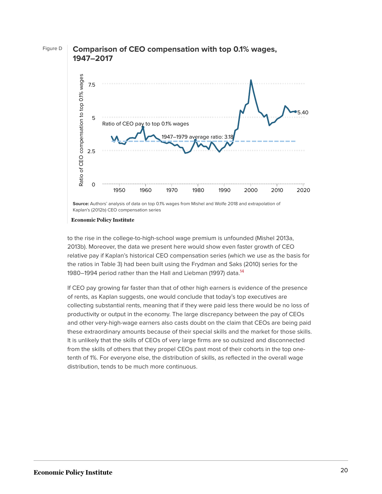

Kaplan's (2012b) CEO compensation series

#### **Economic Policy Institute**

to the rise in the college-to-high-school wage premium is unfounded (Mishel 2013a, 2013b). Moreover, the data we present here would show even faster growth of CEO relative pay if Kaplan's historical CEO compensation series (which we use as the basis for the ratios in Table 3) had been built using the Frydman and Saks (2010) series for the 1980–1994 period rather than the Hall and Liebman (1997) data.<sup>[14](#page-24-3)</sup>

<span id="page-20-0"></span>If CEO pay growing far faster than that of other high earners is evidence of the presence of rents, as Kaplan suggests, one would conclude that today's top executives are collecting substantial rents, meaning that if they were paid less there would be no loss of productivity or output in the economy. The large discrepancy between the pay of CEOs and other very-high-wage earners also casts doubt on the claim that CEOs are being paid these extraordinary amounts because of their special skills and the market for those skills. It is unlikely that the skills of CEOs of very large firms are so outsized and disconnected from the skills of others that they propel CEOs past most of their cohorts in the top onetenth of 1%. For everyone else, the distribution of skills, as reflected in the overall wage distribution, tends to be much more continuous.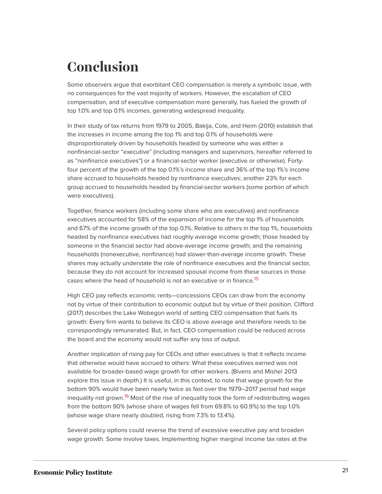# **Conclusion**

Some observers argue that exorbitant CEO compensation is merely a symbolic issue, with no consequences for the vast majority of workers. However, the escalation of CEO compensation, and of executive compensation more generally, has fueled the growth of top 1.0% and top 0.1% incomes, generating widespread inequality.

In their study of tax returns from 1979 to 2005, Bakija, Cole, and Heim (2010) establish that the increases in income among the top 1% and top 0.1% of households were disproportionately driven by households headed by someone who was either a nonfinancial-sector "executive" (including managers and supervisors, hereafter referred to as "nonfinance executives") or a financial-sector worker (executive or otherwise). Fortyfour percent of the growth of the top 0.1%'s income share and 36% of the top 1%'s income share accrued to households headed by nonfinance executives; another 23% for each group accrued to households headed by financial-sector workers (some portion of which were executives).

Together, finance workers (including some share who are executives) and nonfinance executives accounted for 58% of the expansion of income for the top 1% of households and 67% of the income growth of the top 0.1%. Relative to others in the top 1%, households headed by nonfinance executives had roughly average income growth; those headed by someone in the financial sector had above-average income growth; and the remaining households (nonexecutive, nonfinance) had slower-than-average income growth. These shares may actually understate the role of nonfinance executives and the financial sector, because they do not account for increased spousal income from these sources in those cases where the head of household is *not* an executive or in finance.<sup>[15](#page-24-4)</sup>

<span id="page-21-0"></span>High CEO pay reflects economic rents—concessions CEOs can draw from the economy not by virtue of their contribution to economic output but by virtue of their position. Clifford (2017) describes the Lake Wobegon world of setting CEO compensation that fuels its growth: Every firm wants to believe its CEO is above average and therefore needs to be correspondingly remunerated. But, in fact, CEO compensation could be reduced across the board and the economy would not suffer any loss of output.

Another implication of rising pay for CEOs and other executives is that it reflects income that otherwise would have accrued to others: What these executives earned was not available for broader-based wage growth for other workers. (Bivens and Mishel 2013 explore this issue in depth.) It is useful, in this context, to note that wage growth for the bottom 90% would have been nearly twice as fast over the 1979–2017 period had wage inequality not grown.<sup>[16](#page-24-5)</sup> Most of the rise of inequality took the form of redistributing wages from the bottom 90% (whose share of wages fell from 69.8% to 60.9%) to the top 1.0% (whose wage share nearly doubled, rising from 7.3% to 13.4%).

<span id="page-21-1"></span>Several policy options could reverse the trend of excessive executive pay and broaden wage growth. Some involve taxes. Implementing higher marginal income tax rates at the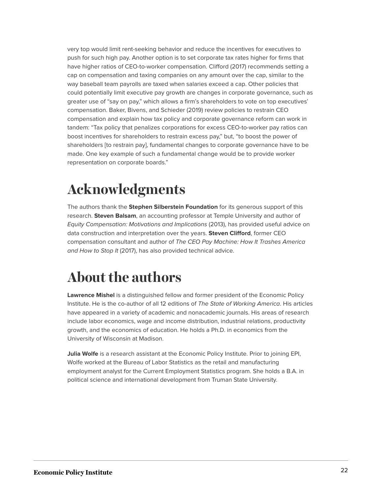very top would limit rent-seeking behavior and reduce the incentives for executives to push for such high pay. Another option is to set corporate tax rates higher for firms that have higher ratios of CEO-to-worker compensation. Clifford (2017) recommends setting a cap on compensation and taxing companies on any amount over the cap, similar to the way baseball team payrolls are taxed when salaries exceed a cap. Other policies that could potentially limit executive pay growth are changes in corporate governance, such as greater use of "say on pay," which allows a firm's shareholders to vote on top executives' compensation. Baker, Bivens, and Schieder (2019) review policies to restrain CEO compensation and explain how tax policy and corporate governance reform can work in tandem: "Tax policy that penalizes corporations for excess CEO-to-worker pay ratios can boost incentives for shareholders to restrain excess pay," but, "to boost the power of shareholders [to restrain pay], fundamental changes to corporate governance have to be made. One key example of such a fundamental change would be to provide worker representation on corporate boards."

# **Acknowledgments**

The authors thank the **Stephen Silberstein Foundation** for its generous support of this research. **Steven Balsam**, an accounting professor at Temple University and author of Equity Compensation: Motivations and Implications (2013), has provided useful advice on data construction and interpretation over the years. **Steven Clifford**, former CEO compensation consultant and author of The CEO Pay Machine: How It Trashes America and How to Stop It (2017), has also provided technical advice.

# **About the authors**

**Lawrence Mishel** is a distinguished fellow and former president of the Economic Policy Institute. He is the co-author of all 12 editions of The State of Working America. His articles have appeared in a variety of academic and nonacademic journals. His areas of research include labor economics, wage and income distribution, industrial relations, productivity growth, and the economics of education. He holds a Ph.D. in economics from the University of Wisconsin at Madison.

**Julia Wolfe** is a research assistant at the Economic Policy Institute. Prior to joining EPI, Wolfe worked at the Bureau of Labor Statistics as the retail and manufacturing employment analyst for the Current Employment Statistics program. She holds a B.A. in political science and international development from Truman State University.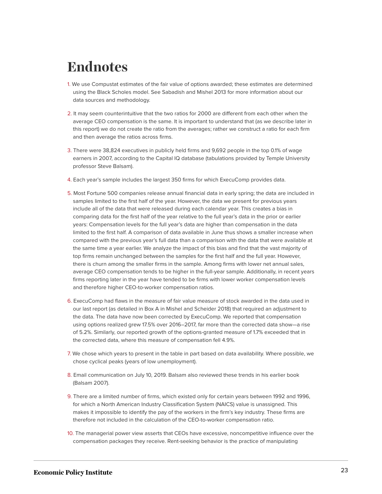# **Endnotes**

- <span id="page-23-0"></span>[1.](#page-2-0) We use Compustat estimates of the fair value of options awarded; these estimates are determined using the Black Scholes model. See Sabadish and Mishel 2013 for more information about our data sources and methodology.
- <span id="page-23-1"></span>[2.](#page-3-0) It may seem counterintuitive that the two ratios for 2000 are different from each other when the average CEO compensation is the same. It is important to understand that (as we describe later in this report) we do not create the ratio from the averages; rather we construct a ratio for each firm and then average the ratios across firms.
- <span id="page-23-2"></span>[3.](#page-3-1) There were 38,824 executives in publicly held firms and 9,692 people in the top 0.1% of wage earners in 2007, according to the Capital IQ database (tabulations provided by Temple University professor Steve Balsam).
- <span id="page-23-3"></span>[4.](#page-5-0) Each year's sample includes the largest 350 firms for which ExecuComp provides data.
- <span id="page-23-4"></span>[5.](#page-6-0) Most Fortune 500 companies release annual financial data in early spring; the data are included in samples limited to the first half of the year. However, the data we present for previous years include all of the data that were released during each calendar year. This creates a bias in comparing data for the first half of the year relative to the full year's data in the prior or earlier years: Compensation levels for the full year's data are higher than compensation in the data limited to the first half. A comparison of data available in June thus shows a smaller increase when compared with the previous year's full data than a comparison with the data that were available at the same time a year earlier. We analyze the impact of this bias and find that the vast majority of top firms remain unchanged between the samples for the first half and the full year. However, there is churn among the smaller firms in the sample. Among firms with lower net annual sales, average CEO compensation tends to be higher in the full-year sample. Additionally, in recent years firms reporting later in the year have tended to be firms with lower worker compensation levels and therefore higher CEO-to-worker compensation ratios.
- <span id="page-23-5"></span>[6.](#page-7-0) ExecuComp had flaws in the measure of fair value measure of stock awarded in the data used in our last report (as detailed in Box A in Mishel and Scheider 2018) that required an adjustment to the data. The data have now been corrected by ExecuComp. We reported that compensation using options realized grew 17.5% over 2016–2017, far more than the corrected data show—a rise of 5.2%. Similarly, our reported growth of the options-granted measure of 1.7% exceeded that in the corrected data, where this measure of compensation fell 4.9%.
- <span id="page-23-6"></span>[7.](#page-7-1) We chose which years to present in the table in part based on data availability. Where possible, we chose cyclical peaks (years of low unemployment).
- <span id="page-23-7"></span>[8.](#page-12-0) Email communication on July 10, 2019. Balsam also reviewed these trends in his earlier book (Balsam 2007).
- <span id="page-23-8"></span>[9.](#page-13-0) There are a limited number of firms, which existed only for certain years between 1992 and 1996, for which a North American Industry Classification System (NAICS) value is unassigned. This makes it impossible to identify the pay of the workers in the firm's key industry. These firms are therefore not included in the calculation of the CEO-to-worker compensation ratio.
- <span id="page-23-9"></span>[10.](#page-17-0) The managerial power view asserts that CEOs have excessive, noncompetitive influence over the compensation packages they receive. Rent-seeking behavior is the practice of manipulating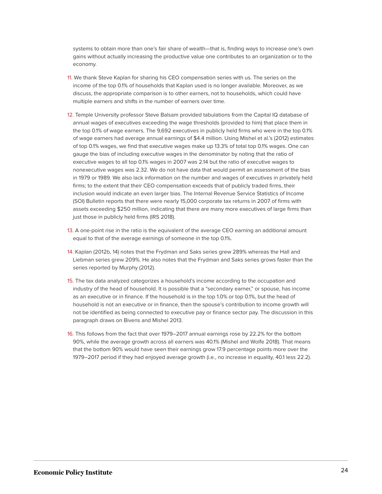systems to obtain more than one's fair share of wealth—that is, finding ways to increase one's own gains without actually increasing the productive value one contributes to an organization or to the economy.

- <span id="page-24-0"></span>[11.](#page-18-0) We thank Steve Kaplan for sharing his CEO compensation series with us. The series on the income of the top 0.1% of households that Kaplan used is no longer available. Moreover, as we discuss, the appropriate comparison is to other earners, not to households, which could have multiple earners and shifts in the number of earners over time.
- <span id="page-24-1"></span>[12.](#page-18-1) Temple University professor Steve Balsam provided tabulations from the Capital IQ database of annual wages of executives exceeding the wage thresholds (provided to him) that place them in the top 0.1% of wage earners. The 9,692 executives in publicly held firms who were in the top 0.1% of wage earners had average annual earnings of \$4.4 million. Using Mishel et al.'s (2012) estimates of top 0.1% wages, we find that executive wages make up 13.3% of total top 0.1% wages. One can gauge the bias of including executive wages in the denominator by noting that the ratio of executive wages to all top 0.1% wages in 2007 was 2.14 but the ratio of executive wages to nonexecutive wages was 2.32. We do not have data that would permit an assessment of the bias in 1979 or 1989. We also lack information on the number and wages of executives in privately held firms; to the extent that their CEO compensation exceeds that of publicly traded firms, their inclusion would indicate an even larger bias. The Internal Revenue Service Statistics of Income (SOI) Bulletin reports that there were nearly 15,000 corporate tax returns in 2007 of firms with assets exceeding \$250 million, indicating that there are many more executives of large firms than just those in publicly held firms (IRS 2018).
- <span id="page-24-2"></span>[13.](#page-18-2) A one-point rise in the ratio is the equivalent of the average CEO earning an additional amount equal to that of the average earnings of someone in the top 0.1%.
- <span id="page-24-3"></span>[14.](#page-20-0) Kaplan (2012b, 14) notes that the Frydman and Saks series grew 289% whereas the Hall and Liebman series grew 209%. He also notes that the Frydman and Saks series grows faster than the series reported by Murphy (2012).
- <span id="page-24-4"></span>[15.](#page-21-0) The tax data analyzed categorizes a household's income according to the occupation and industry of the head of household. It is possible that a "secondary earner," or spouse, has income as an executive or in finance. If the household is in the top 1.0% or top 0.1%, but the head of household is not an executive or in finance, then the spouse's contribution to income growth will not be identified as being connected to executive pay or finance sector pay. The discussion in this paragraph draws on Bivens and Mishel 2013.
- <span id="page-24-5"></span>[16.](#page-21-1) This follows from the fact that over 1979–2017 annual earnings rose by 22.2% for the bottom 90%, while the average growth across all earners was 40.1% (Mishel and Wolfe 2018). That means that the bottom 90% would have seen their earnings grow 17.9 percentage points more over the 1979–2017 period if they had enjoyed average growth (i.e., no increase in equality, 40.1 less 22.2).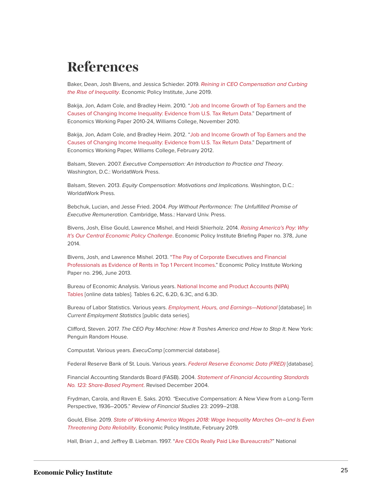# **References**

Baker, Dean, Josh Bivens, and Jessica Schieder. 2019. [Reining in CEO Compensation and Curbing](https://www.epi.org/publication/reining-in-ceo-compensation-and-curbing-the-rise-of-inequality/) [the Rise of Inequality](https://www.epi.org/publication/reining-in-ceo-compensation-and-curbing-the-rise-of-inequality/). Economic Policy Institute, June 2019.

Bakija, Jon, Adam Cole, and Bradley Heim. 2010. "[Job and Income Growth of Top Earners and the](http://piketty.pse.ens.fr/files/Bakijaetal2010.pdf) [Causes of Changing Income Inequality: Evidence from U.S. Tax Return Data](http://piketty.pse.ens.fr/files/Bakijaetal2010.pdf)." Department of Economics Working Paper 2010-24, Williams College, November 2010.

Bakija, Jon, Adam Cole, and Bradley Heim. 2012. ["Job and Income Growth of Top Earners and the](https://web.williams.edu/Economics/wp/BakijaColeHeimJobsIncomeGrowthTopEarners.pdf) [Causes of Changing Income Inequality: Evidence from U.S. Tax Return Data](https://web.williams.edu/Economics/wp/BakijaColeHeimJobsIncomeGrowthTopEarners.pdf)." Department of Economics Working Paper, Williams College, February 2012.

Balsam, Steven. 2007. Executive Compensation: An Introduction to Practice and Theory. Washington, D.C.: WorldatWork Press.

Balsam, Steven. 2013. Equity Compensation: Motivations and Implications. Washington, D.C.: WorldatWork Press.

Bebchuk, Lucian, and Jesse Fried. 2004. Pay Without Performance: The Unfulfilled Promise of Executive Remuneration. Cambridge, Mass.: Harvard Univ. Press.

Bivens, Josh, Elise Gould, Lawrence Mishel, and Heidi Shierholz. 2014. [Raising America's Pay: Why](https://www.epi.org/publication/raising-americas-pay/) [It's Our Central Economic Policy Challenge](https://www.epi.org/publication/raising-americas-pay/). Economic Policy Institute Briefing Paper no. 378, June 2014.

Bivens, Josh, and Lawrence Mishel. 2013. ["The Pay of Corporate Executives and Financial](https://www.epi.org/publication/pay-corporate-executives-financial-professionals/) [Professionals as Evidence of Rents in Top 1 Percent Incomes.](https://www.epi.org/publication/pay-corporate-executives-financial-professionals/)" Economic Policy Institute Working Paper no. 296, June 2013.

Bureau of Economic Analysis. Various years. [National Income and Product Accounts \(NIPA\)](https://www.bea.gov/iTable/iTable.cfm?reqid=19&step=2#reqid=19&step=2&isuri=1&1921=1921) [Tables](https://www.bea.gov/iTable/iTable.cfm?reqid=19&step=2#reqid=19&step=2&isuri=1&1921=1921) [online data tables]. Tables 6.2C, 6.2D, 6.3C, and 6.3D.

Bureau of Labor Statistics. Various years. Employment, Hours, and Earnings-National [database]. In Current Employment Statistics [public data series].

Clifford, Steven. 2017. The CEO Pay Machine: How It Trashes America and How to Stop It. New York: Penguin Random House.

Compustat. Various years. ExecuComp [commercial database].

Federal Reserve Bank of St. Louis. Various years. [Federal Reserve Economic Data \(FRED\)](http://research.stlouisfed.org/fred2/) [database].

Financial Accounting Standards Board (FASB). 2004. [Statement of Financial Accounting Standards](https://www.fasb.org/pdf/fas123r.pdf) [No. 123: Share-Based Payment](https://www.fasb.org/pdf/fas123r.pdf). Revised December 2004.

Frydman, Carola, and Raven E. Saks. 2010. "Executive Compensation: A New View from a Long-Term Perspective, 1936–2005." Review of Financial Studies 23: 2099–2138.

Gould, Elise. 2019. [State of Working America Wages 2018: Wage Inequality Marches On–and Is Even](https://www.epi.org/publication/state-of-american-wages-2018/) [Threatening Data Reliability](https://www.epi.org/publication/state-of-american-wages-2018/). Economic Policy Institute, February 2019.

Hall, Brian J., and Jeffrey B. Liebman. 1997. "[Are CEOs Really Paid Like Bureaucrats?"](https://www.nber.org/papers/w6213) National